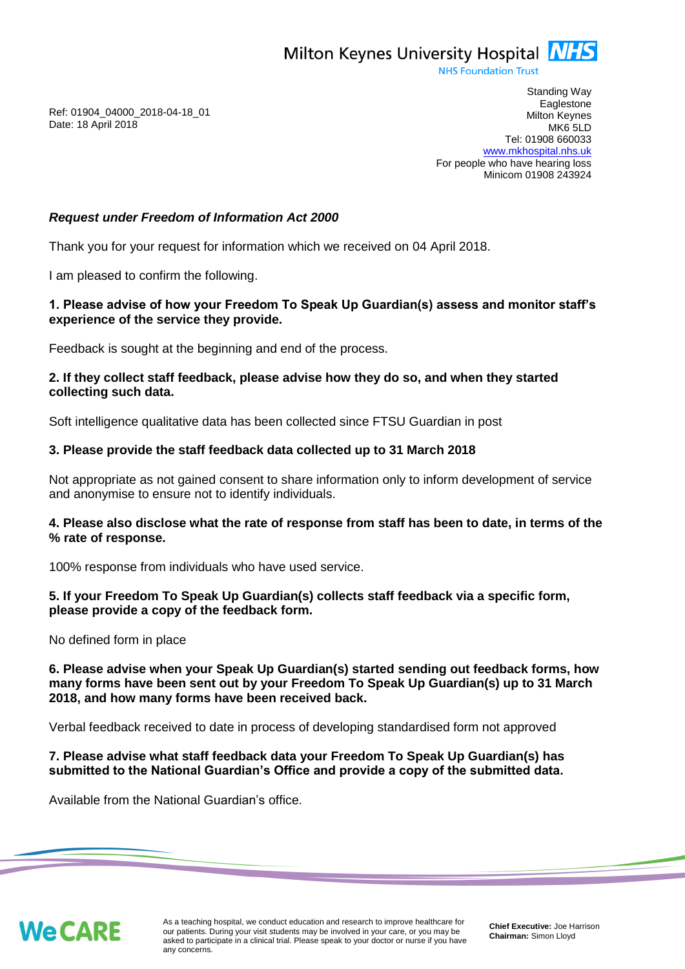Milton Keynes University Hospital **NHS** 

**NHS Foundation Trust** 

Ref: 01904\_04000\_2018-04-18\_01 Date: 18 April 2018

Standing Way **Eaglestone** Milton Keynes MK6 5LD Tel: 01908 660033 [www.mkhospital.nhs.uk](http://www.mkhospital.nhs.uk/) For people who have hearing loss Minicom 01908 243924

# *Request under Freedom of Information Act 2000*

Thank you for your request for information which we received on 04 April 2018.

I am pleased to confirm the following.

## **1. Please advise of how your Freedom To Speak Up Guardian(s) assess and monitor staff's experience of the service they provide.**

Feedback is sought at the beginning and end of the process.

## **2. If they collect staff feedback, please advise how they do so, and when they started collecting such data.**

Soft intelligence qualitative data has been collected since FTSU Guardian in post

## **3. Please provide the staff feedback data collected up to 31 March 2018**

Not appropriate as not gained consent to share information only to inform development of service and anonymise to ensure not to identify individuals.

## **4. Please also disclose what the rate of response from staff has been to date, in terms of the % rate of response.**

100% response from individuals who have used service.

## **5. If your Freedom To Speak Up Guardian(s) collects staff feedback via a specific form, please provide a copy of the feedback form.**

No defined form in place

**6. Please advise when your Speak Up Guardian(s) started sending out feedback forms, how many forms have been sent out by your Freedom To Speak Up Guardian(s) up to 31 March 2018, and how many forms have been received back.** 

Verbal feedback received to date in process of developing standardised form not approved

## **7. Please advise what staff feedback data your Freedom To Speak Up Guardian(s) has submitted to the National Guardian's Office and provide a copy of the submitted data.**

Available from the National Guardian's office.